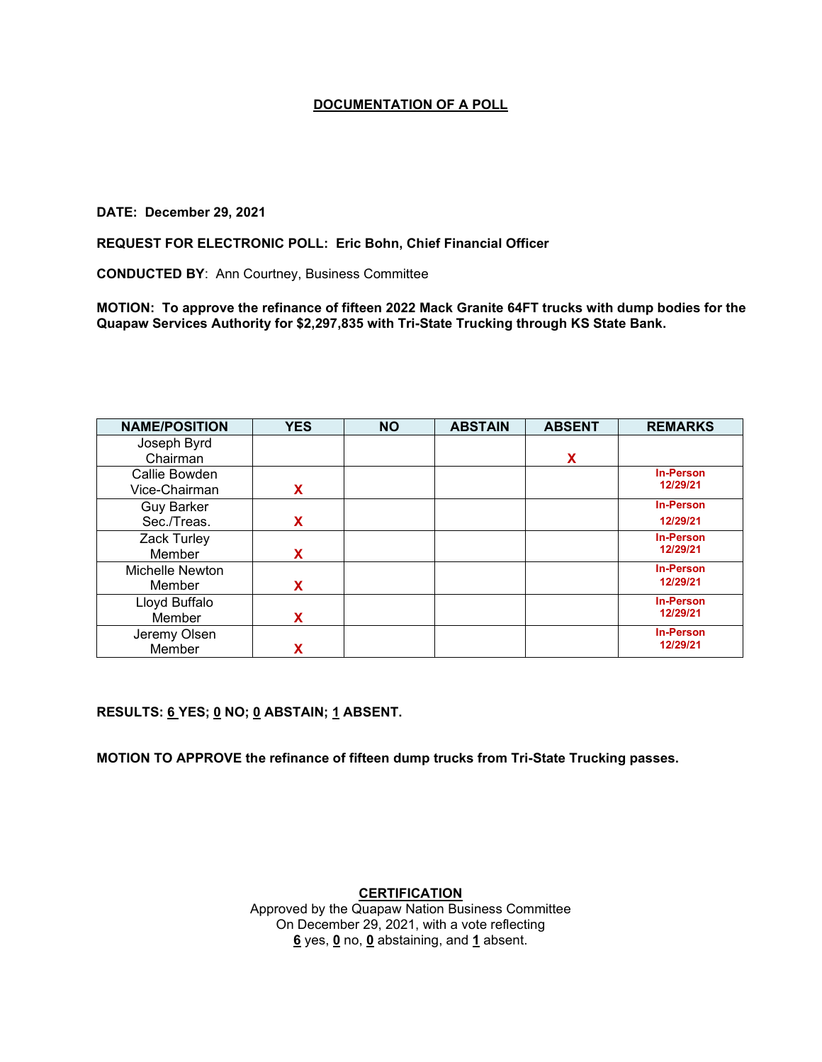#### **DATE: December 29, 2021**

#### **REQUEST FOR ELECTRONIC POLL: Eric Bohn, Chief Financial Officer**

**CONDUCTED BY**: Ann Courtney, Business Committee

**MOTION: To approve the refinance of fifteen 2022 Mack Granite 64FT trucks with dump bodies for the Quapaw Services Authority for \$2,297,835 with Tri-State Trucking through KS State Bank.**

| <b>NAME/POSITION</b> | <b>YES</b> | <b>NO</b> | <b>ABSTAIN</b> | <b>ABSENT</b> | <b>REMARKS</b>   |
|----------------------|------------|-----------|----------------|---------------|------------------|
| Joseph Byrd          |            |           |                |               |                  |
| Chairman             |            |           |                | X             |                  |
| Callie Bowden        |            |           |                |               | <b>In-Person</b> |
| Vice-Chairman        | x          |           |                |               | 12/29/21         |
| <b>Guy Barker</b>    |            |           |                |               | <b>In-Person</b> |
| Sec./Treas.          | x          |           |                |               | 12/29/21         |
| Zack Turley          |            |           |                |               | <b>In-Person</b> |
| Member               | x          |           |                |               | 12/29/21         |
| Michelle Newton      |            |           |                |               | <b>In-Person</b> |
| Member               | x          |           |                |               | 12/29/21         |
| Lloyd Buffalo        |            |           |                |               | <b>In-Person</b> |
| Member               | X          |           |                |               | 12/29/21         |
| Jeremy Olsen         |            |           |                |               | <b>In-Person</b> |
| Member               |            |           |                |               | 12/29/21         |

**RESULTS: 6 YES; 0 NO; 0 ABSTAIN; 1 ABSENT.** 

**MOTION TO APPROVE the refinance of fifteen dump trucks from Tri-State Trucking passes.**

## **CERTIFICATION**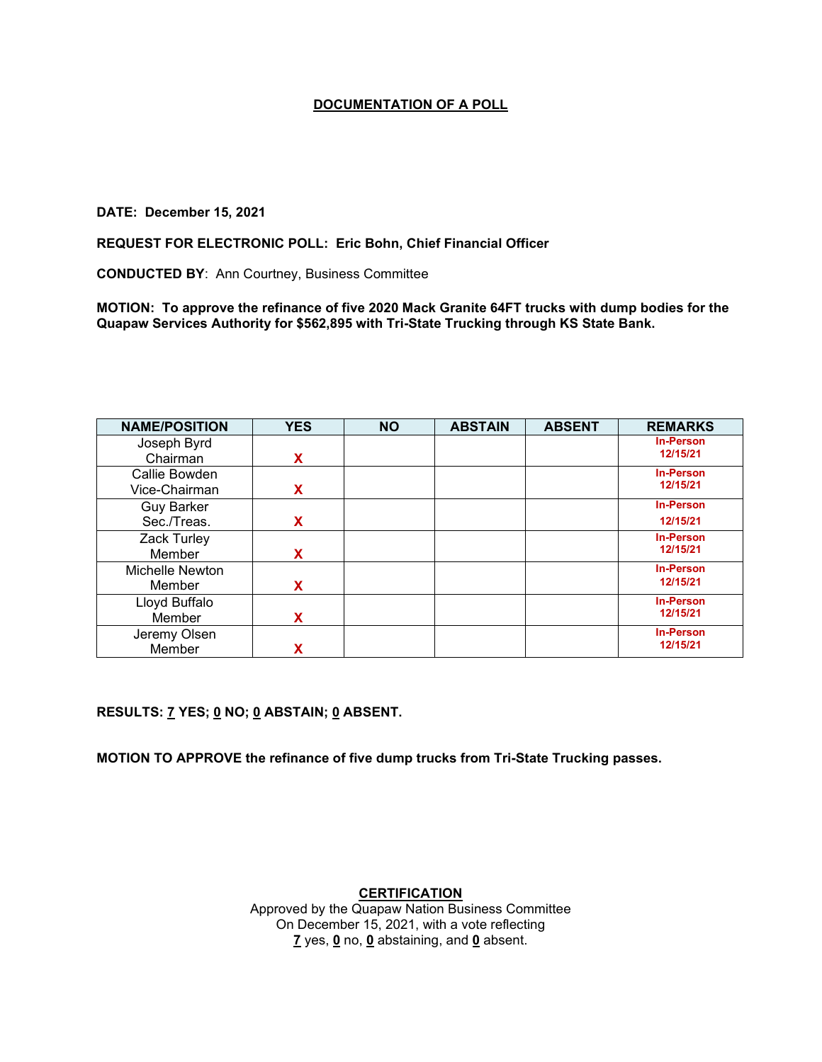### **DATE: December 15, 2021**

#### **REQUEST FOR ELECTRONIC POLL: Eric Bohn, Chief Financial Officer**

**CONDUCTED BY**: Ann Courtney, Business Committee

**MOTION: To approve the refinance of five 2020 Mack Granite 64FT trucks with dump bodies for the Quapaw Services Authority for \$562,895 with Tri-State Trucking through KS State Bank.**

| <b>NAME/POSITION</b> | <b>YES</b> | <b>NO</b> | <b>ABSTAIN</b> | <b>ABSENT</b> | <b>REMARKS</b>   |
|----------------------|------------|-----------|----------------|---------------|------------------|
| Joseph Byrd          |            |           |                |               | <b>In-Person</b> |
| Chairman             | x          |           |                |               | 12/15/21         |
| Callie Bowden        |            |           |                |               | <b>In-Person</b> |
| Vice-Chairman        | x          |           |                |               | 12/15/21         |
| <b>Guy Barker</b>    |            |           |                |               | <b>In-Person</b> |
| Sec./Treas.          | x          |           |                |               | 12/15/21         |
| Zack Turley          |            |           |                |               | <b>In-Person</b> |
| Member               | x          |           |                |               | 12/15/21         |
| Michelle Newton      |            |           |                |               | <b>In-Person</b> |
| Member               | x          |           |                |               | 12/15/21         |
| Lloyd Buffalo        |            |           |                |               | <b>In-Person</b> |
| Member               | X          |           |                |               | 12/15/21         |
| Jeremy Olsen         |            |           |                |               | <b>In-Person</b> |
| Member               |            |           |                |               | 12/15/21         |

**RESULTS: 7 YES; 0 NO; 0 ABSTAIN; 0 ABSENT.** 

**MOTION TO APPROVE the refinance of five dump trucks from Tri-State Trucking passes.**

**CERTIFICATION**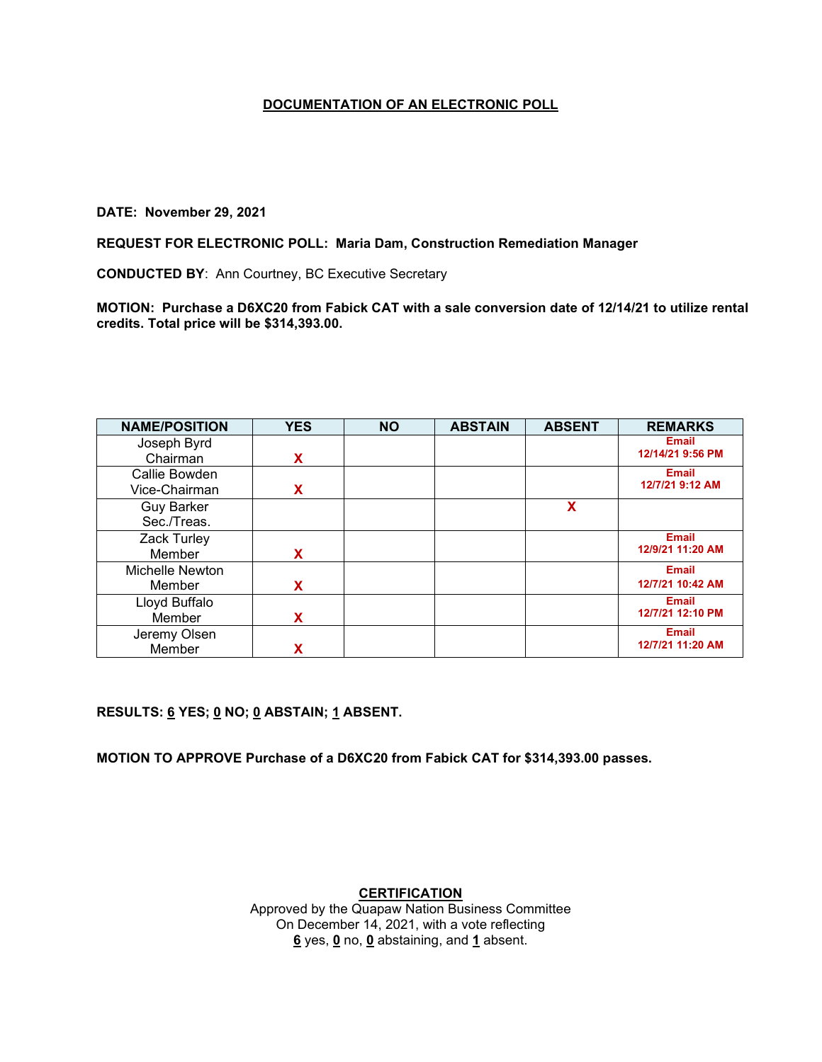### **DATE: November 29, 2021**

### **REQUEST FOR ELECTRONIC POLL: Maria Dam, Construction Remediation Manager**

**CONDUCTED BY**: Ann Courtney, BC Executive Secretary

**MOTION: Purchase a D6XC20 from Fabick CAT with a sale conversion date of 12/14/21 to utilize rental credits. Total price will be \$314,393.00.**

| <b>NAME/POSITION</b> | <b>YES</b> | <b>NO</b> | <b>ABSTAIN</b> | <b>ABSENT</b> | <b>REMARKS</b>   |
|----------------------|------------|-----------|----------------|---------------|------------------|
| Joseph Byrd          |            |           |                |               | <b>Email</b>     |
| Chairman             | x          |           |                |               | 12/14/21 9:56 PM |
| Callie Bowden        |            |           |                |               | <b>Email</b>     |
| Vice-Chairman        | x          |           |                |               | 12/7/21 9:12 AM  |
| <b>Guy Barker</b>    |            |           |                | X             |                  |
| Sec./Treas.          |            |           |                |               |                  |
| Zack Turley          |            |           |                |               | <b>Email</b>     |
| Member               | X          |           |                |               | 12/9/21 11:20 AM |
| Michelle Newton      |            |           |                |               | <b>Email</b>     |
| Member               | x          |           |                |               | 12/7/21 10:42 AM |
| Lloyd Buffalo        |            |           |                |               | <b>Email</b>     |
| Member               | x          |           |                |               | 12/7/21 12:10 PM |
| Jeremy Olsen         |            |           |                |               | <b>Email</b>     |
| Member               |            |           |                |               | 12/7/21 11:20 AM |

**RESULTS: 6 YES; 0 NO; 0 ABSTAIN; 1 ABSENT.** 

**MOTION TO APPROVE Purchase of a D6XC20 from Fabick CAT for \$314,393.00 passes.**

## **CERTIFICATION**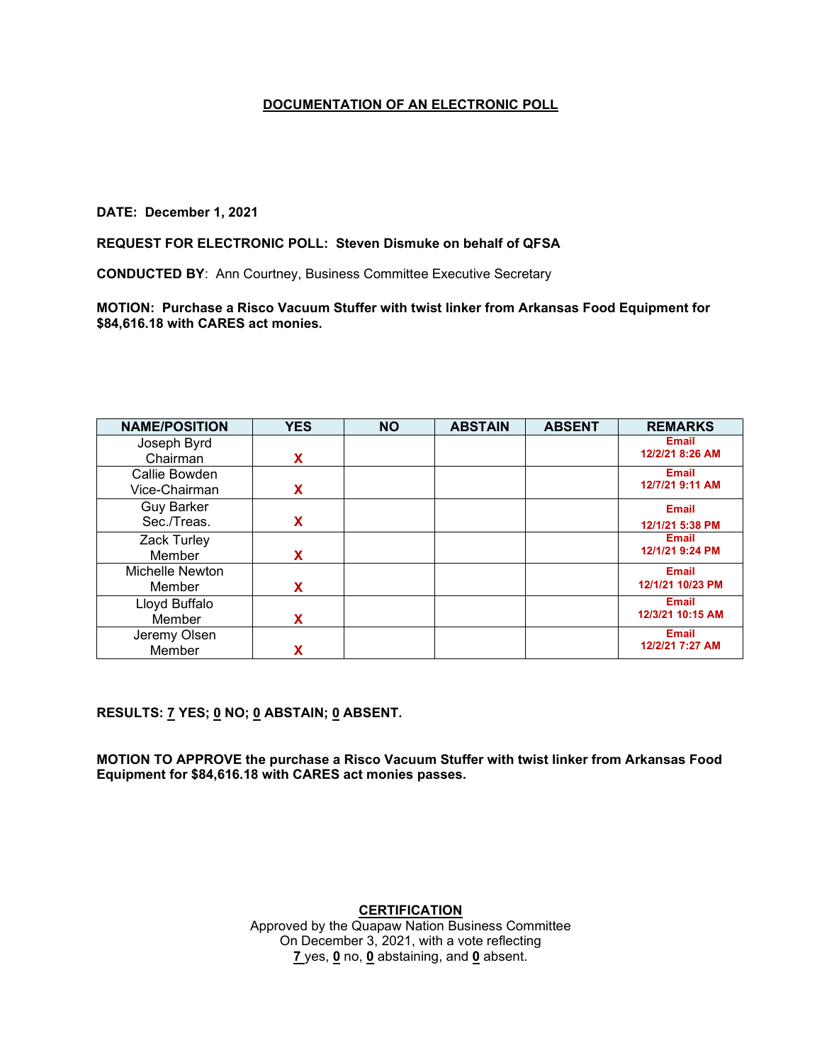### **DATE: December 1, 2021**

# **REQUEST FOR ELECTRONIC POLL: Steven Dismuke on behalf of QFSA**

**CONDUCTED BY**: Ann Courtney, Business Committee Executive Secretary

**MOTION: Purchase a Risco Vacuum Stuffer with twist linker from Arkansas Food Equipment for \$84,616.18 with CARES act monies.**

| <b>NAME/POSITION</b> | <b>YES</b> | <b>NO</b> | <b>ABSTAIN</b> | <b>ABSENT</b> | <b>REMARKS</b>   |
|----------------------|------------|-----------|----------------|---------------|------------------|
| Joseph Byrd          |            |           |                |               | <b>Email</b>     |
| Chairman             | X          |           |                |               | 12/2/21 8:26 AM  |
| Callie Bowden        |            |           |                |               | <b>Email</b>     |
| Vice-Chairman        | x          |           |                |               | 12/7/21 9:11 AM  |
| <b>Guy Barker</b>    |            |           |                |               | <b>Email</b>     |
| Sec./Treas.          | x          |           |                |               | 12/1/21 5:38 PM  |
| Zack Turley          |            |           |                |               | <b>Email</b>     |
| Member               | x          |           |                |               | 12/1/21 9:24 PM  |
| Michelle Newton      |            |           |                |               | <b>Email</b>     |
| Member               | x          |           |                |               | 12/1/21 10/23 PM |
| Lloyd Buffalo        |            |           |                |               | <b>Email</b>     |
| Member               | x          |           |                |               | 12/3/21 10:15 AM |
| Jeremy Olsen         |            |           |                |               | <b>Email</b>     |
| Member               |            |           |                |               | 12/2/21 7:27 AM  |

# **RESULTS: 7 YES; 0 NO; 0 ABSTAIN; 0 ABSENT.**

**MOTION TO APPROVE the purchase a Risco Vacuum Stuffer with twist linker from Arkansas Food Equipment for \$84,616.18 with CARES act monies passes.**

# **CERTIFICATION**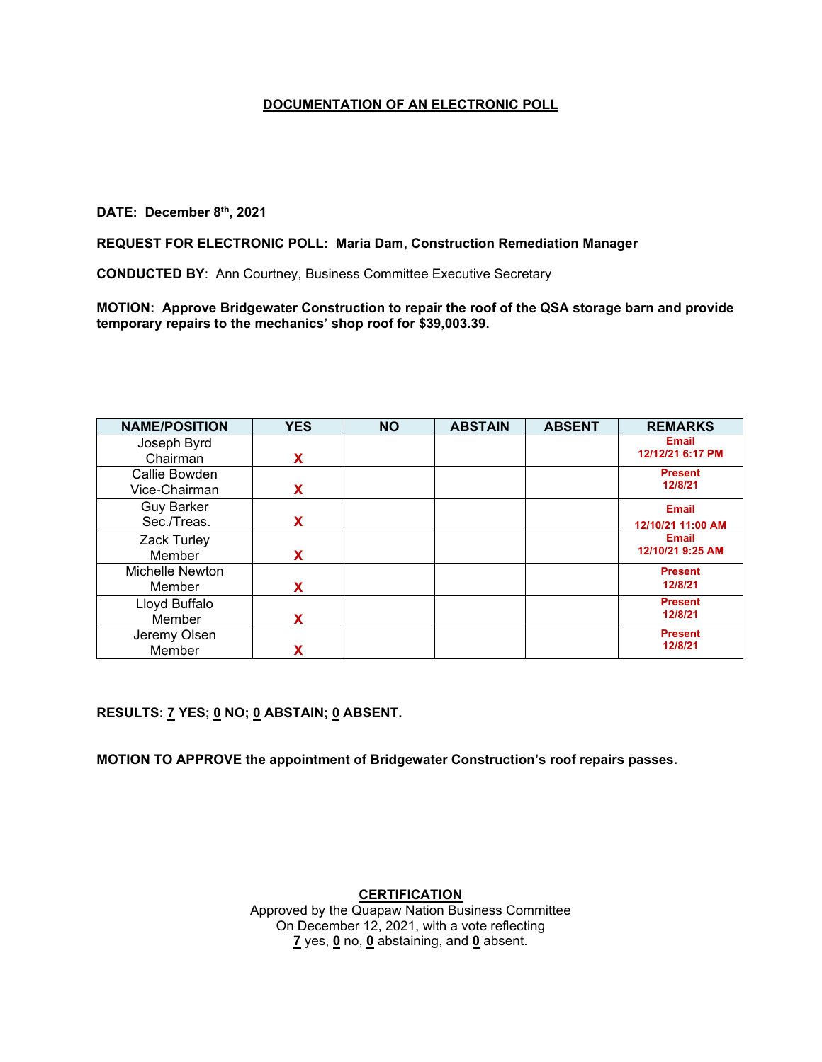# **DATE: December 8th, 2021**

### **REQUEST FOR ELECTRONIC POLL: Maria Dam, Construction Remediation Manager**

**CONDUCTED BY**: Ann Courtney, Business Committee Executive Secretary

**MOTION: Approve Bridgewater Construction to repair the roof of the QSA storage barn and provide temporary repairs to the mechanics' shop roof for \$39,003.39.**

| <b>NAME/POSITION</b> | <b>YES</b> | <b>NO</b> | <b>ABSTAIN</b> | <b>ABSENT</b> | <b>REMARKS</b>    |
|----------------------|------------|-----------|----------------|---------------|-------------------|
| Joseph Byrd          |            |           |                |               | <b>Email</b>      |
| Chairman             | x          |           |                |               | 12/12/21 6:17 PM  |
| Callie Bowden        |            |           |                |               | <b>Present</b>    |
| Vice-Chairman        | x          |           |                |               | 12/8/21           |
| <b>Guy Barker</b>    |            |           |                |               | <b>Email</b>      |
| Sec./Treas.          | x          |           |                |               | 12/10/21 11:00 AM |
| Zack Turley          |            |           |                |               | <b>Email</b>      |
| Member               | х          |           |                |               | 12/10/21 9:25 AM  |
| Michelle Newton      |            |           |                |               | <b>Present</b>    |
| Member               | x          |           |                |               | 12/8/21           |
| Lloyd Buffalo        |            |           |                |               | <b>Present</b>    |
| Member               | x          |           |                |               | 12/8/21           |
| Jeremy Olsen         |            |           |                |               | <b>Present</b>    |
| Member               |            |           |                |               | 12/8/21           |

**RESULTS: 7 YES; 0 NO; 0 ABSTAIN; 0 ABSENT.** 

**MOTION TO APPROVE the appointment of Bridgewater Construction's roof repairs passes.**

**CERTIFICATION**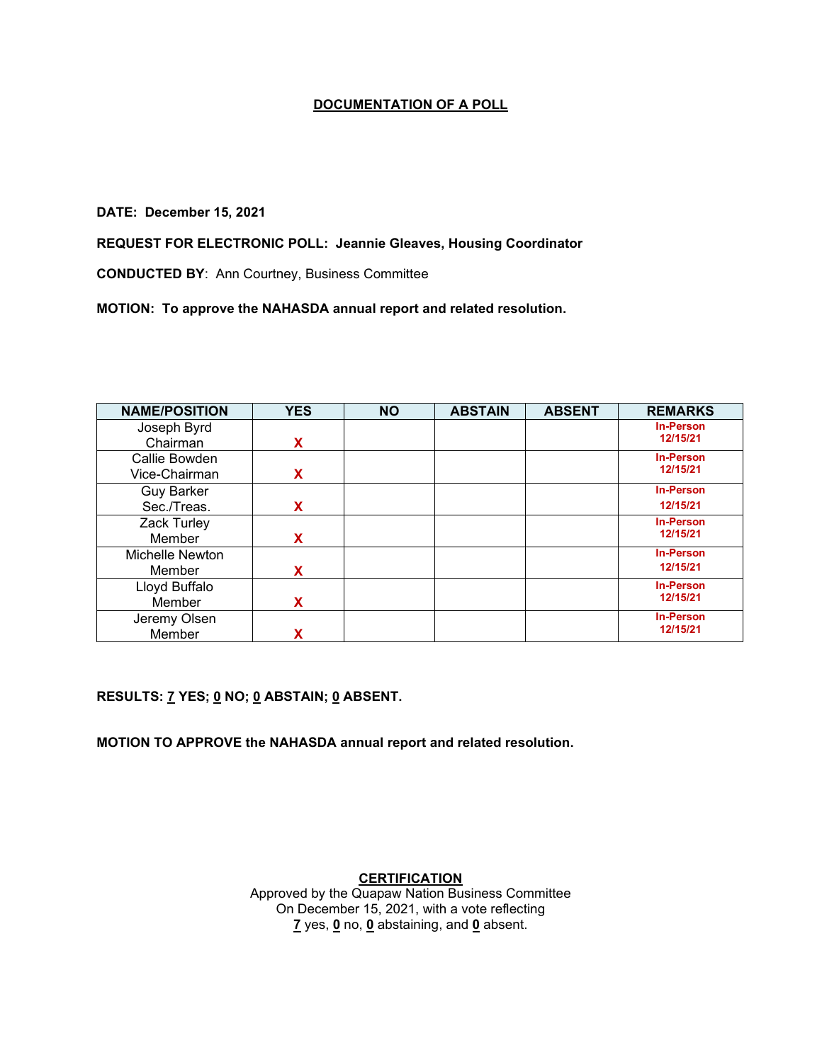#### **DATE: December 15, 2021**

**REQUEST FOR ELECTRONIC POLL: Jeannie Gleaves, Housing Coordinator**

**CONDUCTED BY**: Ann Courtney, Business Committee

**MOTION: To approve the NAHASDA annual report and related resolution.**

| <b>NAME/POSITION</b> | <b>YES</b> | <b>NO</b> | <b>ABSTAIN</b> | <b>ABSENT</b> | <b>REMARKS</b>   |
|----------------------|------------|-----------|----------------|---------------|------------------|
| Joseph Byrd          |            |           |                |               | <b>In-Person</b> |
| Chairman             | x          |           |                |               | 12/15/21         |
| Callie Bowden        |            |           |                |               | <b>In-Person</b> |
| Vice-Chairman        | x          |           |                |               | 12/15/21         |
| <b>Guy Barker</b>    |            |           |                |               | <b>In-Person</b> |
| Sec./Treas.          | x          |           |                |               | 12/15/21         |
| Zack Turley          |            |           |                |               | <b>In-Person</b> |
| Member               | x          |           |                |               | 12/15/21         |
| Michelle Newton      |            |           |                |               | <b>In-Person</b> |
| Member               | X          |           |                |               | 12/15/21         |
| Lloyd Buffalo        |            |           |                |               | <b>In-Person</b> |
| Member               | x          |           |                |               | 12/15/21         |
| Jeremy Olsen         |            |           |                |               | <b>In-Person</b> |
| Member               |            |           |                |               | 12/15/21         |

**RESULTS: 7 YES; 0 NO; 0 ABSTAIN; 0 ABSENT.** 

**MOTION TO APPROVE the NAHASDA annual report and related resolution.**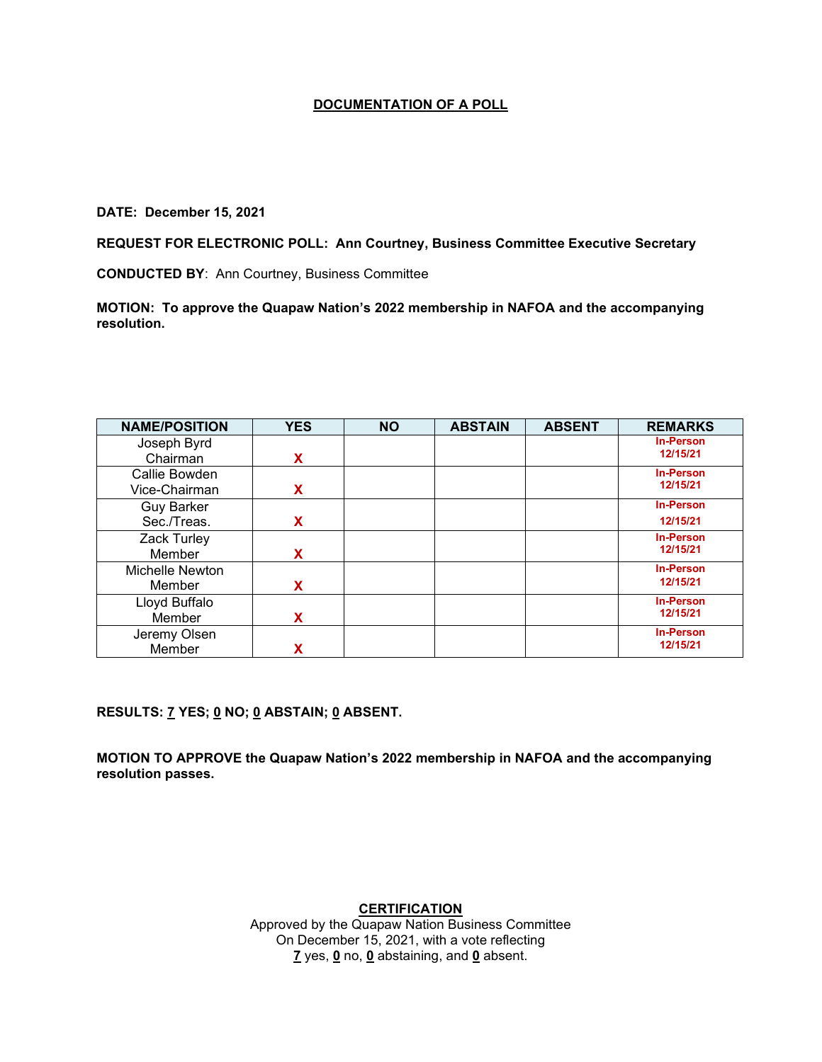#### **DATE: December 15, 2021**

**REQUEST FOR ELECTRONIC POLL: Ann Courtney, Business Committee Executive Secretary**

**CONDUCTED BY**: Ann Courtney, Business Committee

**MOTION: To approve the Quapaw Nation's 2022 membership in NAFOA and the accompanying resolution.**

| <b>NAME/POSITION</b> | <b>YES</b> | <b>NO</b> | <b>ABSTAIN</b> | <b>ABSENT</b> | <b>REMARKS</b>   |
|----------------------|------------|-----------|----------------|---------------|------------------|
| Joseph Byrd          |            |           |                |               | <b>In-Person</b> |
| Chairman             | X          |           |                |               | 12/15/21         |
| Callie Bowden        |            |           |                |               | <b>In-Person</b> |
| Vice-Chairman        | X          |           |                |               | 12/15/21         |
| <b>Guy Barker</b>    |            |           |                |               | <b>In-Person</b> |
| Sec./Treas.          | x          |           |                |               | 12/15/21         |
| Zack Turley          |            |           |                |               | <b>In-Person</b> |
| Member               | X          |           |                |               | 12/15/21         |
| Michelle Newton      |            |           |                |               | <b>In-Person</b> |
| Member               | x          |           |                |               | 12/15/21         |
| Lloyd Buffalo        |            |           |                |               | <b>In-Person</b> |
| Member               | X          |           |                |               | 12/15/21         |
| Jeremy Olsen         |            |           |                |               | <b>In-Person</b> |
| Member               |            |           |                |               | 12/15/21         |

**RESULTS: 7 YES; 0 NO; 0 ABSTAIN; 0 ABSENT.** 

**MOTION TO APPROVE the Quapaw Nation's 2022 membership in NAFOA and the accompanying resolution passes.**

**CERTIFICATION**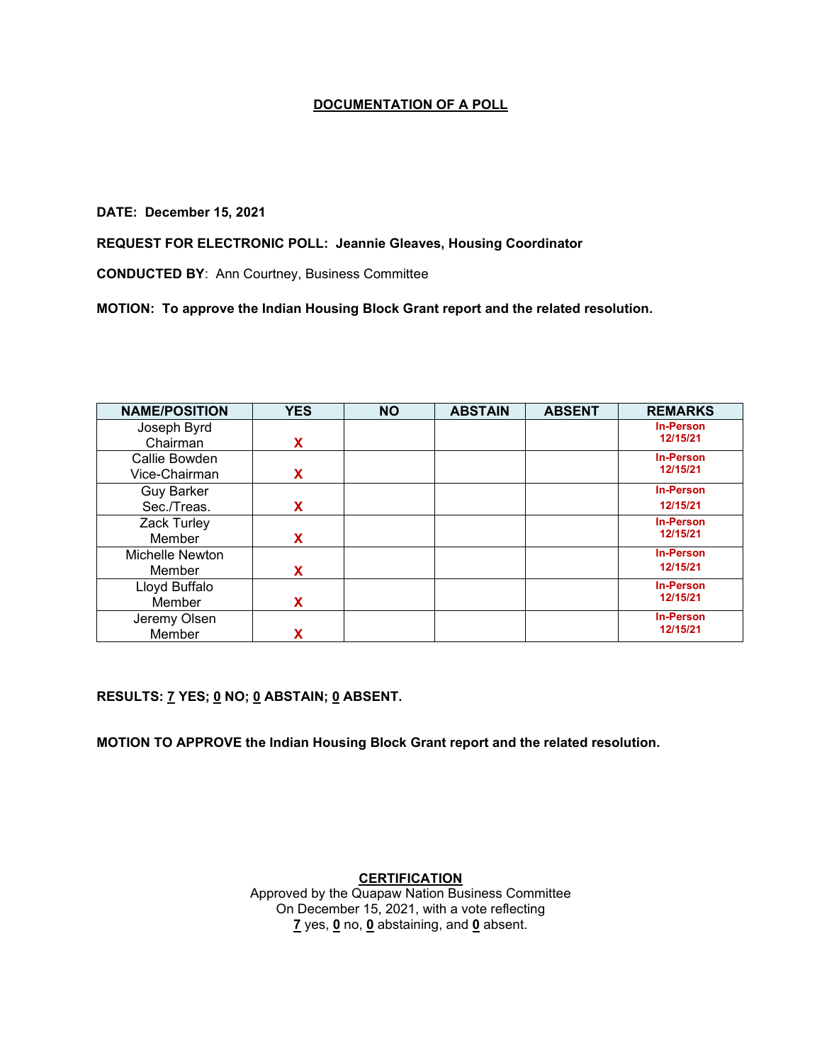### **DATE: December 15, 2021**

**REQUEST FOR ELECTRONIC POLL: Jeannie Gleaves, Housing Coordinator**

**CONDUCTED BY**: Ann Courtney, Business Committee

**MOTION: To approve the Indian Housing Block Grant report and the related resolution.**

| <b>NAME/POSITION</b> | <b>YES</b> | <b>NO</b> | <b>ABSTAIN</b> | <b>ABSENT</b> | <b>REMARKS</b>   |
|----------------------|------------|-----------|----------------|---------------|------------------|
| Joseph Byrd          |            |           |                |               | <b>In-Person</b> |
| Chairman             | X          |           |                |               | 12/15/21         |
| Callie Bowden        |            |           |                |               | <b>In-Person</b> |
| Vice-Chairman        | X          |           |                |               | 12/15/21         |
| <b>Guy Barker</b>    |            |           |                |               | <b>In-Person</b> |
| Sec./Treas.          | X          |           |                |               | 12/15/21         |
| Zack Turley          |            |           |                |               | <b>In-Person</b> |
| Member               | X          |           |                |               | 12/15/21         |
| Michelle Newton      |            |           |                |               | <b>In-Person</b> |
| Member               | X          |           |                |               | 12/15/21         |
| Lloyd Buffalo        |            |           |                |               | <b>In-Person</b> |
| Member               | х          |           |                |               | 12/15/21         |
| Jeremy Olsen         |            |           |                |               | <b>In-Person</b> |
| Member               |            |           |                |               | 12/15/21         |

**RESULTS: 7 YES; 0 NO; 0 ABSTAIN; 0 ABSENT.** 

**MOTION TO APPROVE the Indian Housing Block Grant report and the related resolution.**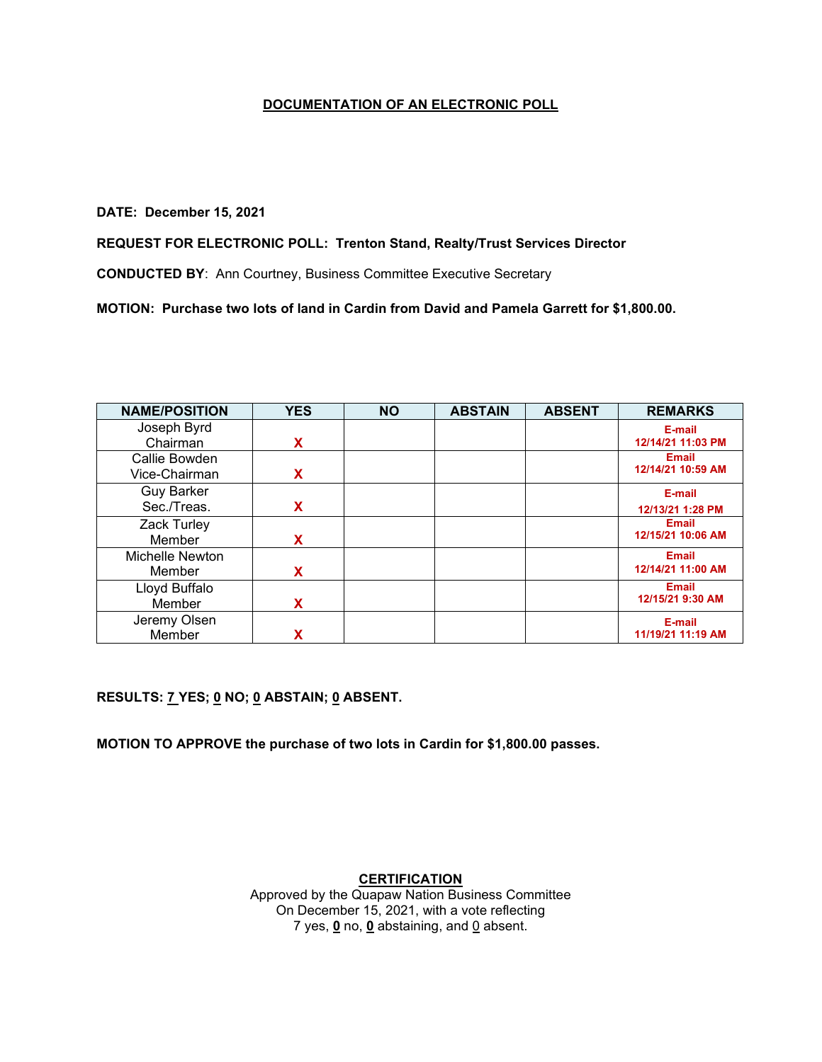### **DATE: December 15, 2021**

### **REQUEST FOR ELECTRONIC POLL: Trenton Stand, Realty/Trust Services Director**

**CONDUCTED BY**: Ann Courtney, Business Committee Executive Secretary

**MOTION: Purchase two lots of land in Cardin from David and Pamela Garrett for \$1,800.00.**

| <b>NAME/POSITION</b> | <b>YES</b> | <b>NO</b> | <b>ABSTAIN</b> | <b>ABSENT</b> | <b>REMARKS</b>    |
|----------------------|------------|-----------|----------------|---------------|-------------------|
| Joseph Byrd          |            |           |                |               | E-mail            |
| Chairman             | X          |           |                |               | 12/14/21 11:03 PM |
| Callie Bowden        |            |           |                |               | <b>Email</b>      |
| Vice-Chairman        | X          |           |                |               | 12/14/21 10:59 AM |
| <b>Guy Barker</b>    |            |           |                |               | E-mail            |
| Sec./Treas.          | X          |           |                |               | 12/13/21 1:28 PM  |
| Zack Turley          |            |           |                |               | <b>Email</b>      |
| Member               | X          |           |                |               | 12/15/21 10:06 AM |
| Michelle Newton      |            |           |                |               | <b>Email</b>      |
| Member               | X          |           |                |               | 12/14/21 11:00 AM |
| Lloyd Buffalo        |            |           |                |               | <b>Email</b>      |
| Member               | X          |           |                |               | 12/15/21 9:30 AM  |
| Jeremy Olsen         |            |           |                |               | E-mail            |
| Member               |            |           |                |               | 11/19/21 11:19 AM |

**RESULTS: 7 YES; 0 NO; 0 ABSTAIN; 0 ABSENT.** 

**MOTION TO APPROVE the purchase of two lots in Cardin for \$1,800.00 passes.**

#### **CERTIFICATION**

Approved by the Quapaw Nation Business Committee On December 15, 2021, with a vote reflecting 7 yes,  $\mathbf{0}$  no,  $\mathbf{0}$  abstaining, and  $\mathbf{0}$  absent.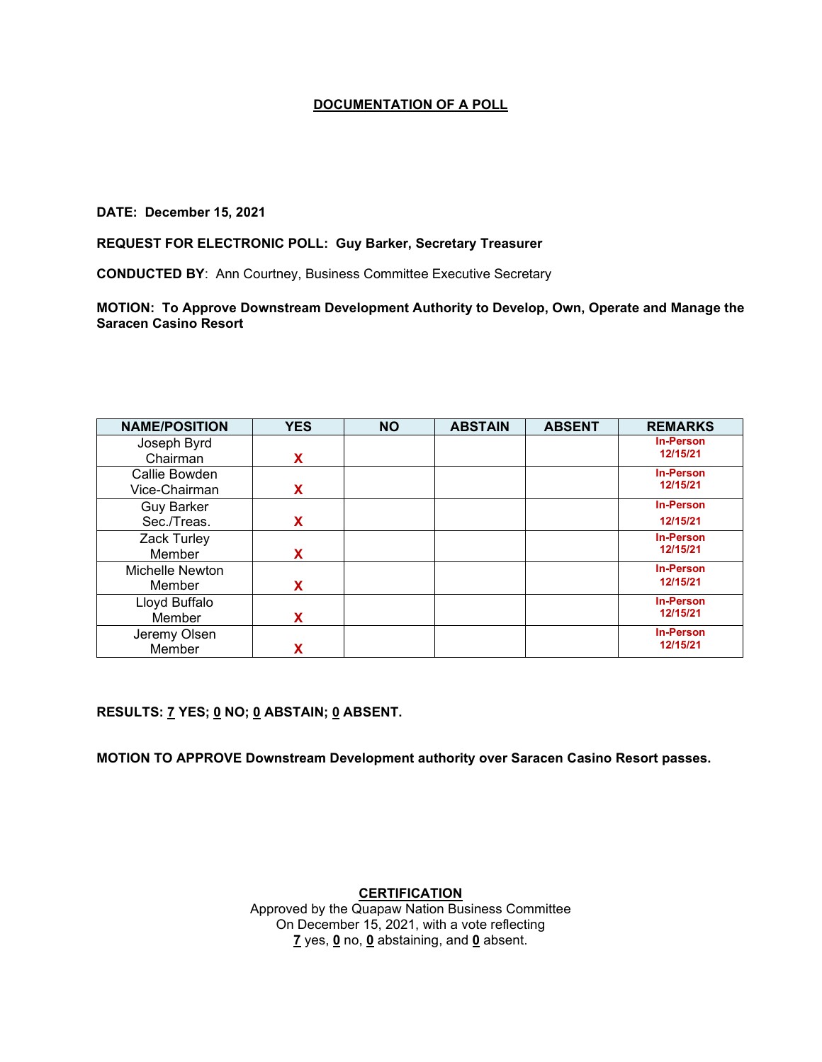### **DATE: December 15, 2021**

#### **REQUEST FOR ELECTRONIC POLL: Guy Barker, Secretary Treasurer**

**CONDUCTED BY**: Ann Courtney, Business Committee Executive Secretary

**MOTION: To Approve Downstream Development Authority to Develop, Own, Operate and Manage the Saracen Casino Resort**

| <b>NAME/POSITION</b> | <b>YES</b> | <b>NO</b> | <b>ABSTAIN</b> | <b>ABSENT</b> | <b>REMARKS</b>   |
|----------------------|------------|-----------|----------------|---------------|------------------|
| Joseph Byrd          |            |           |                |               | <b>In-Person</b> |
| Chairman             | x          |           |                |               | 12/15/21         |
| Callie Bowden        |            |           |                |               | <b>In-Person</b> |
| Vice-Chairman        | x          |           |                |               | 12/15/21         |
| <b>Guy Barker</b>    |            |           |                |               | <b>In-Person</b> |
| Sec./Treas.          | x          |           |                |               | 12/15/21         |
| Zack Turley          |            |           |                |               | <b>In-Person</b> |
| Member               | x          |           |                |               | 12/15/21         |
| Michelle Newton      |            |           |                |               | <b>In-Person</b> |
| Member               | x          |           |                |               | 12/15/21         |
| Lloyd Buffalo        |            |           |                |               | <b>In-Person</b> |
| Member               | X          |           |                |               | 12/15/21         |
| Jeremy Olsen         |            |           |                |               | <b>In-Person</b> |
| Member               |            |           |                |               | 12/15/21         |

**RESULTS: 7 YES; 0 NO; 0 ABSTAIN; 0 ABSENT.** 

**MOTION TO APPROVE Downstream Development authority over Saracen Casino Resort passes.**

**CERTIFICATION**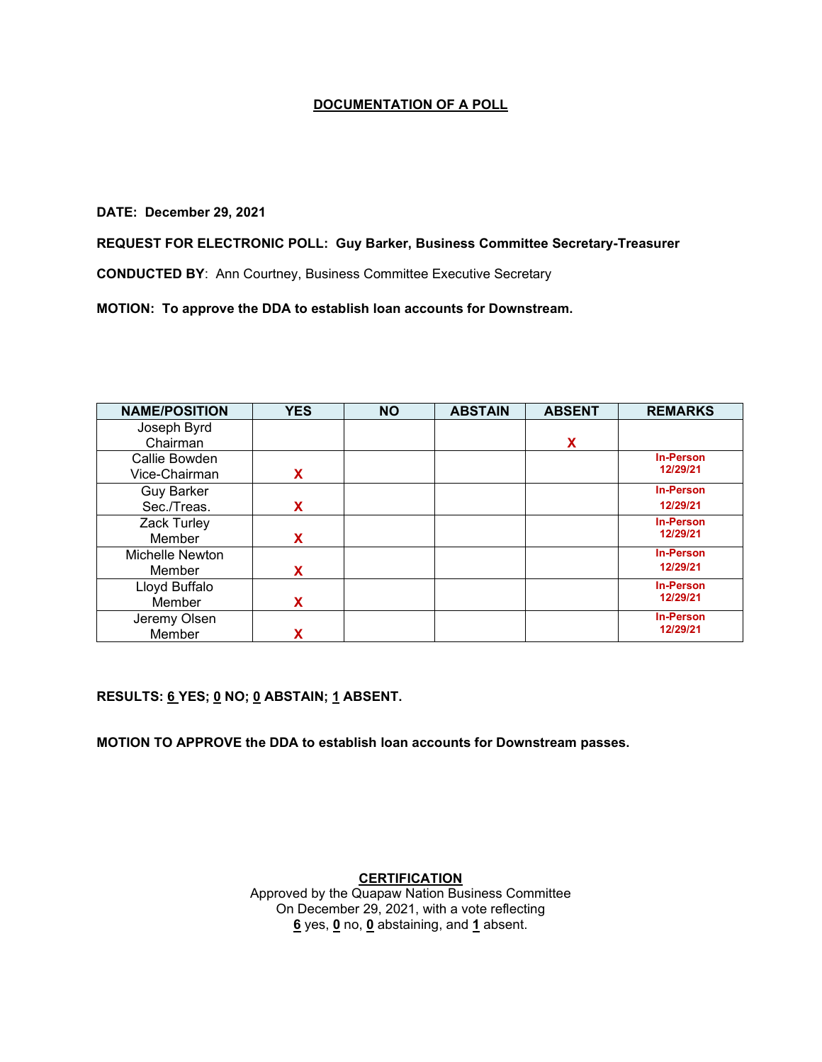#### **DATE: December 29, 2021**

### **REQUEST FOR ELECTRONIC POLL: Guy Barker, Business Committee Secretary-Treasurer**

**CONDUCTED BY**: Ann Courtney, Business Committee Executive Secretary

**MOTION: To approve the DDA to establish loan accounts for Downstream.**

| <b>NAME/POSITION</b> | <b>YES</b> | <b>NO</b> | <b>ABSTAIN</b> | <b>ABSENT</b> | <b>REMARKS</b>   |
|----------------------|------------|-----------|----------------|---------------|------------------|
| Joseph Byrd          |            |           |                |               |                  |
| Chairman             |            |           |                | X             |                  |
| Callie Bowden        |            |           |                |               | <b>In-Person</b> |
| Vice-Chairman        | X          |           |                |               | 12/29/21         |
| <b>Guy Barker</b>    |            |           |                |               | <b>In-Person</b> |
| Sec./Treas.          | X          |           |                |               | 12/29/21         |
| Zack Turley          |            |           |                |               | <b>In-Person</b> |
| Member               | X          |           |                |               | 12/29/21         |
| Michelle Newton      |            |           |                |               | <b>In-Person</b> |
| Member               | X          |           |                |               | 12/29/21         |
| Lloyd Buffalo        |            |           |                |               | <b>In-Person</b> |
| Member               | x          |           |                |               | 12/29/21         |
| Jeremy Olsen         |            |           |                |               | <b>In-Person</b> |
| Member               | χ          |           |                |               | 12/29/21         |

**RESULTS: 6 YES; 0 NO; 0 ABSTAIN; 1 ABSENT.** 

**MOTION TO APPROVE the DDA to establish loan accounts for Downstream passes.**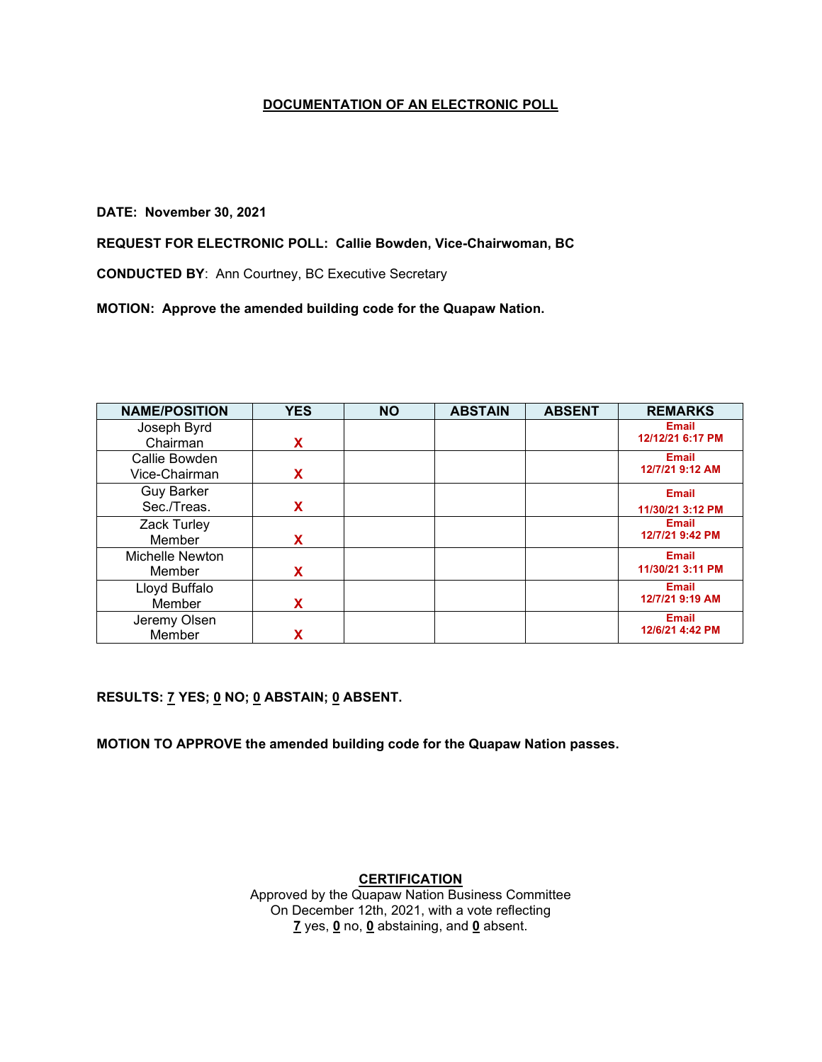### **DATE: November 30, 2021**

## **REQUEST FOR ELECTRONIC POLL: Callie Bowden, Vice-Chairwoman, BC**

**CONDUCTED BY**: Ann Courtney, BC Executive Secretary

**MOTION: Approve the amended building code for the Quapaw Nation.**

| <b>NAME/POSITION</b> | <b>YES</b> | <b>NO</b> | <b>ABSTAIN</b> | <b>ABSENT</b> | <b>REMARKS</b>   |
|----------------------|------------|-----------|----------------|---------------|------------------|
| Joseph Byrd          |            |           |                |               | <b>Email</b>     |
| Chairman             | X          |           |                |               | 12/12/21 6:17 PM |
| Callie Bowden        |            |           |                |               | <b>Email</b>     |
| Vice-Chairman        | X          |           |                |               | 12/7/21 9:12 AM  |
| <b>Guy Barker</b>    |            |           |                |               | <b>Email</b>     |
| Sec./Treas.          | X          |           |                |               | 11/30/21 3:12 PM |
| Zack Turley          |            |           |                |               | <b>Email</b>     |
| Member               | X          |           |                |               | 12/7/21 9:42 PM  |
| Michelle Newton      |            |           |                |               | <b>Email</b>     |
| Member               | X          |           |                |               | 11/30/21 3:11 PM |
| Lloyd Buffalo        |            |           |                |               | <b>Email</b>     |
| Member               | X          |           |                |               | 12/7/21 9:19 AM  |
| Jeremy Olsen         |            |           |                |               | <b>Email</b>     |
| Member               |            |           |                |               | 12/6/21 4:42 PM  |

**RESULTS: 7 YES; 0 NO; 0 ABSTAIN; 0 ABSENT.** 

**MOTION TO APPROVE the amended building code for the Quapaw Nation passes.**

# **CERTIFICATION**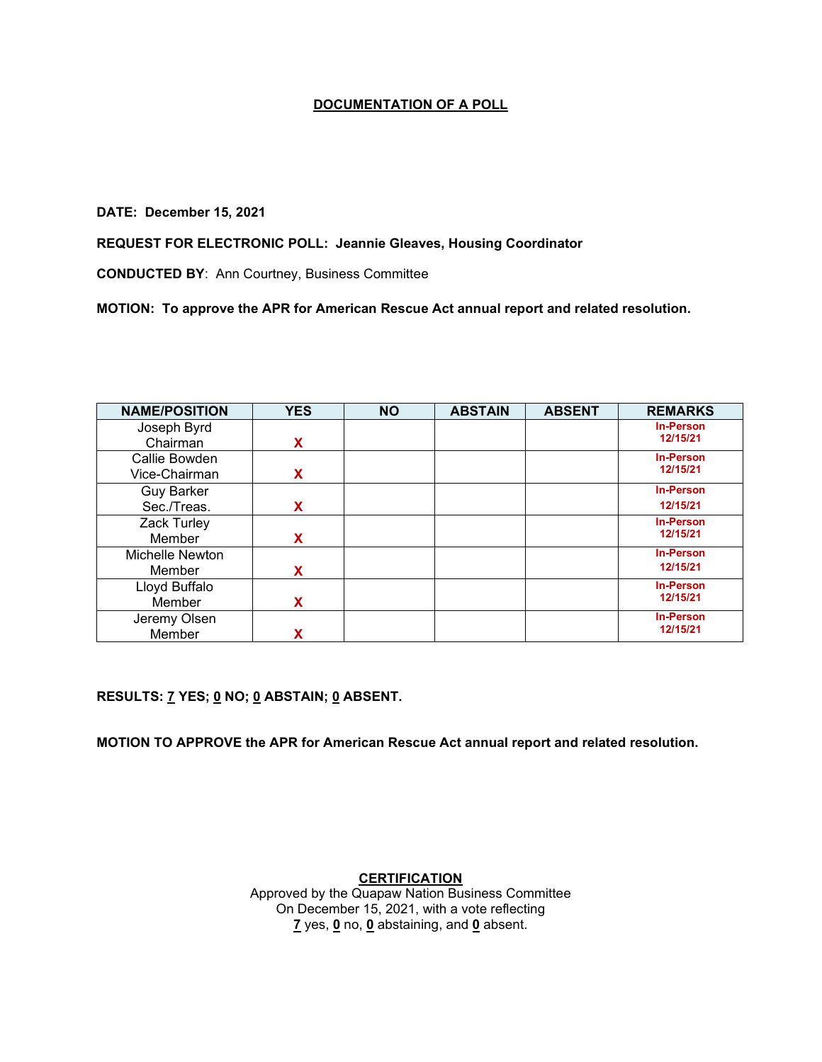### **DATE: December 15, 2021**

**REQUEST FOR ELECTRONIC POLL: Jeannie Gleaves, Housing Coordinator**

**CONDUCTED BY**: Ann Courtney, Business Committee

**MOTION: To approve the APR for American Rescue Act annual report and related resolution.**

| <b>NAME/POSITION</b> | <b>YES</b> | <b>NO</b> | <b>ABSTAIN</b> | <b>ABSENT</b> | <b>REMARKS</b>   |
|----------------------|------------|-----------|----------------|---------------|------------------|
| Joseph Byrd          |            |           |                |               | <b>In-Person</b> |
| Chairman             | X          |           |                |               | 12/15/21         |
| Callie Bowden        |            |           |                |               | <b>In-Person</b> |
| Vice-Chairman        | X          |           |                |               | 12/15/21         |
| <b>Guy Barker</b>    |            |           |                |               | <b>In-Person</b> |
| Sec./Treas.          | X          |           |                |               | 12/15/21         |
| Zack Turley          |            |           |                |               | <b>In-Person</b> |
| Member               | X          |           |                |               | 12/15/21         |
| Michelle Newton      |            |           |                |               | <b>In-Person</b> |
| Member               | X          |           |                |               | 12/15/21         |
| Lloyd Buffalo        |            |           |                |               | <b>In-Person</b> |
| Member               | x          |           |                |               | 12/15/21         |
| Jeremy Olsen         |            |           |                |               | <b>In-Person</b> |
| Member               |            |           |                |               | 12/15/21         |

**RESULTS: 7 YES; 0 NO; 0 ABSTAIN; 0 ABSENT.** 

**MOTION TO APPROVE the APR for American Rescue Act annual report and related resolution.**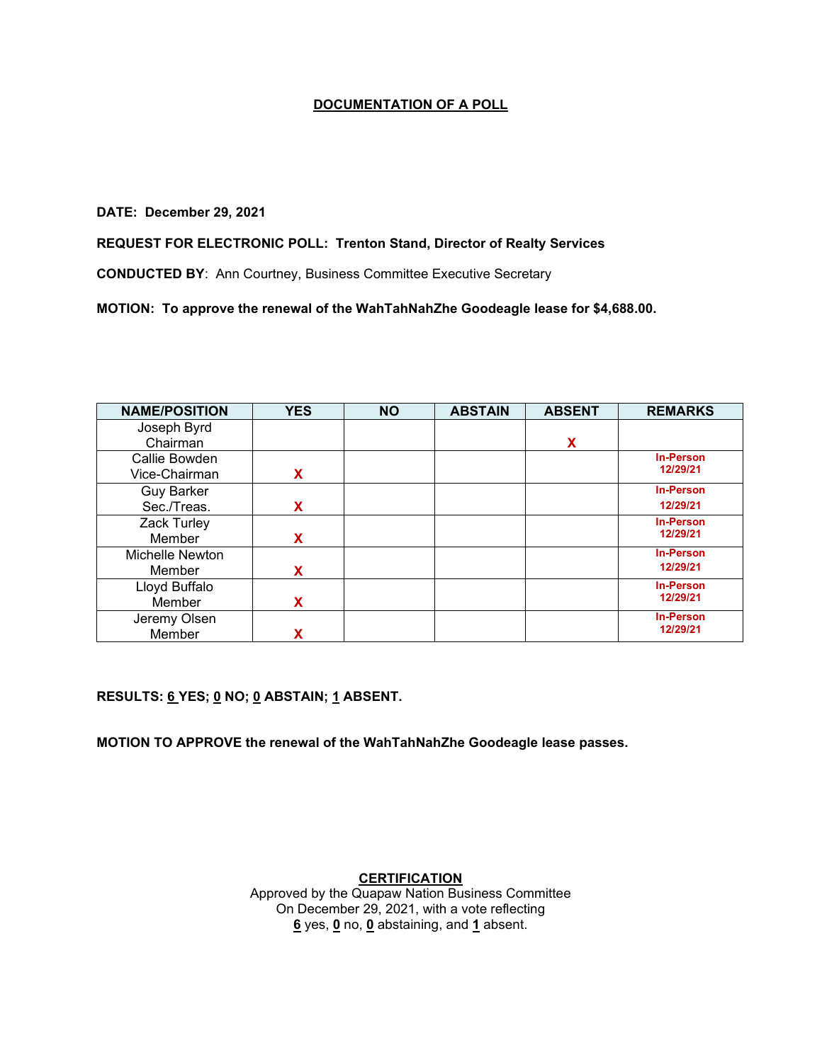#### **DATE: December 29, 2021**

## **REQUEST FOR ELECTRONIC POLL: Trenton Stand, Director of Realty Services**

**CONDUCTED BY**: Ann Courtney, Business Committee Executive Secretary

**MOTION: To approve the renewal of the WahTahNahZhe Goodeagle lease for \$4,688.00.**

| <b>NAME/POSITION</b> | <b>YES</b> | <b>NO</b> | <b>ABSTAIN</b> | <b>ABSENT</b> | <b>REMARKS</b>   |
|----------------------|------------|-----------|----------------|---------------|------------------|
| Joseph Byrd          |            |           |                |               |                  |
| Chairman             |            |           |                | X             |                  |
| Callie Bowden        |            |           |                |               | <b>In-Person</b> |
| Vice-Chairman        | X          |           |                |               | 12/29/21         |
| <b>Guy Barker</b>    |            |           |                |               | <b>In-Person</b> |
| Sec./Treas.          | X          |           |                |               | 12/29/21         |
| Zack Turley          |            |           |                |               | <b>In-Person</b> |
| Member               | X          |           |                |               | 12/29/21         |
| Michelle Newton      |            |           |                |               | <b>In-Person</b> |
| Member               | X          |           |                |               | 12/29/21         |
| Lloyd Buffalo        |            |           |                |               | <b>In-Person</b> |
| Member               | x          |           |                |               | 12/29/21         |
| Jeremy Olsen         |            |           |                |               | <b>In-Person</b> |
| Member               | x          |           |                |               | 12/29/21         |

**RESULTS: 6 YES; 0 NO; 0 ABSTAIN; 1 ABSENT.** 

**MOTION TO APPROVE the renewal of the WahTahNahZhe Goodeagle lease passes.**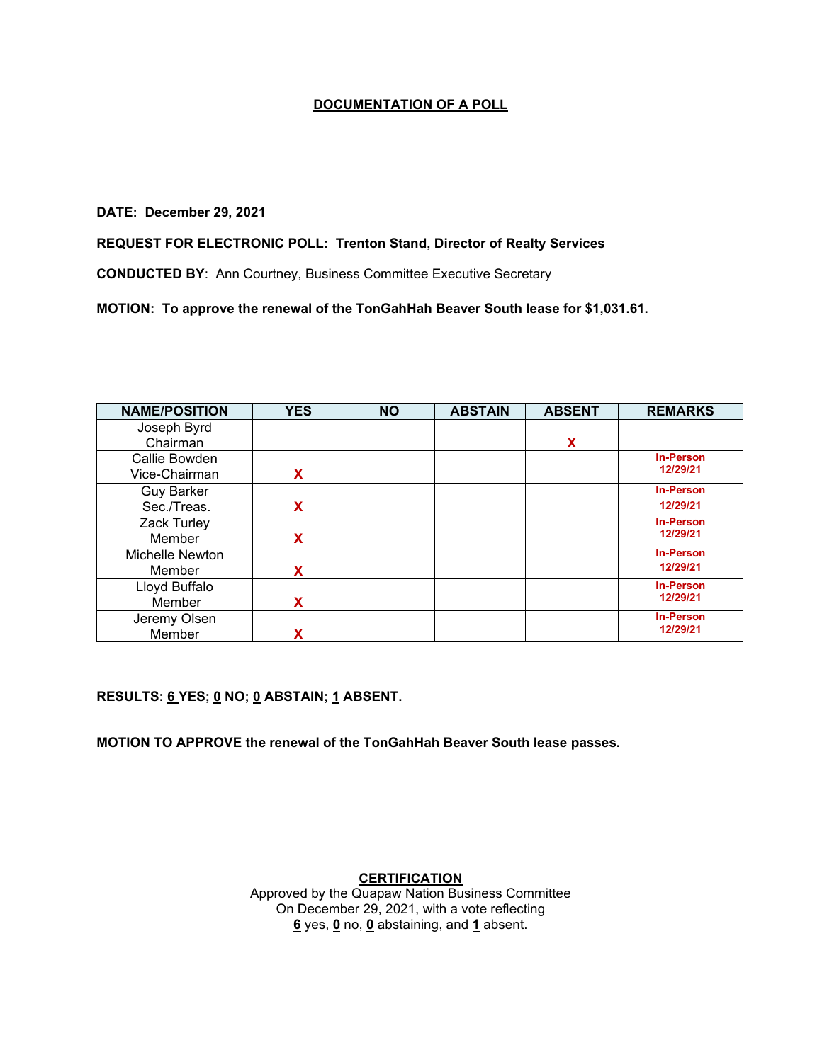#### **DATE: December 29, 2021**

## **REQUEST FOR ELECTRONIC POLL: Trenton Stand, Director of Realty Services**

**CONDUCTED BY**: Ann Courtney, Business Committee Executive Secretary

**MOTION: To approve the renewal of the TonGahHah Beaver South lease for \$1,031.61.**

| <b>NAME/POSITION</b> | <b>YES</b> | <b>NO</b> | <b>ABSTAIN</b> | <b>ABSENT</b> | <b>REMARKS</b>   |
|----------------------|------------|-----------|----------------|---------------|------------------|
| Joseph Byrd          |            |           |                |               |                  |
| Chairman             |            |           |                | X             |                  |
| Callie Bowden        |            |           |                |               | <b>In-Person</b> |
| Vice-Chairman        | X          |           |                |               | 12/29/21         |
| <b>Guy Barker</b>    |            |           |                |               | <b>In-Person</b> |
| Sec./Treas.          | X          |           |                |               | 12/29/21         |
| Zack Turley          |            |           |                |               | <b>In-Person</b> |
| Member               | X          |           |                |               | 12/29/21         |
| Michelle Newton      |            |           |                |               | <b>In-Person</b> |
| Member               | X          |           |                |               | 12/29/21         |
| Lloyd Buffalo        |            |           |                |               | <b>In-Person</b> |
| Member               | x          |           |                |               | 12/29/21         |
| Jeremy Olsen         |            |           |                |               | <b>In-Person</b> |
| Member               | χ          |           |                |               | 12/29/21         |

**RESULTS: 6 YES; 0 NO; 0 ABSTAIN; 1 ABSENT.** 

**MOTION TO APPROVE the renewal of the TonGahHah Beaver South lease passes.**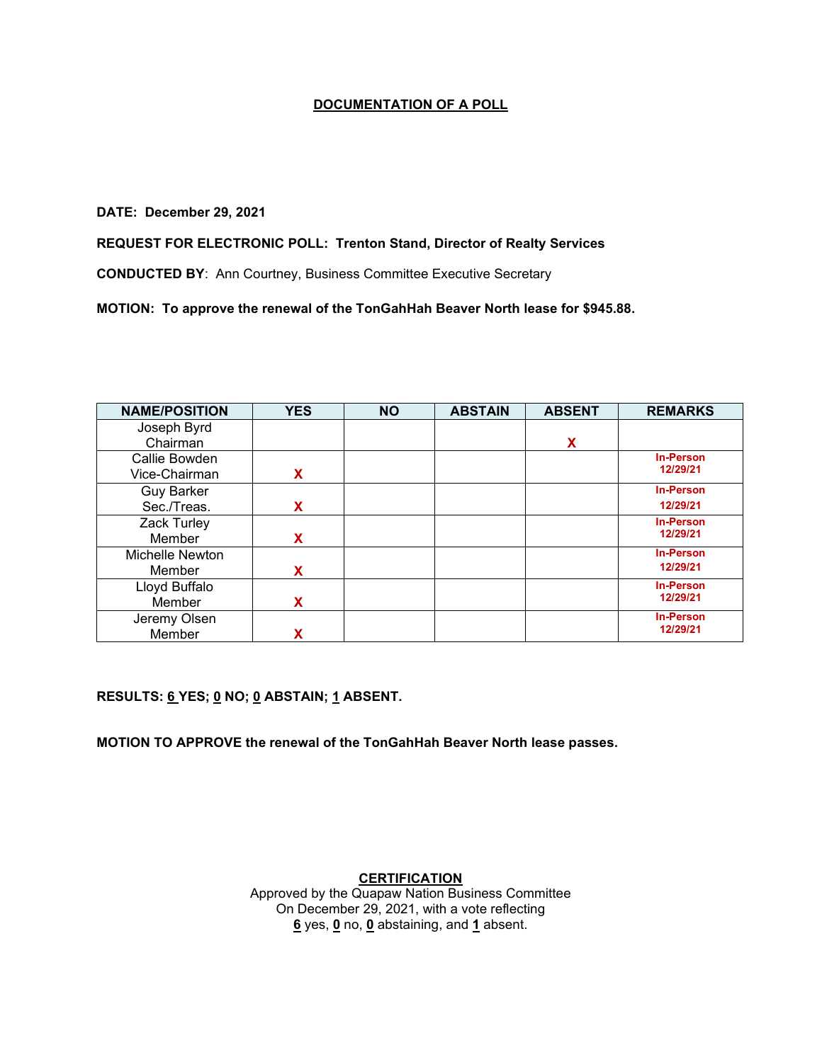#### **DATE: December 29, 2021**

## **REQUEST FOR ELECTRONIC POLL: Trenton Stand, Director of Realty Services**

**CONDUCTED BY**: Ann Courtney, Business Committee Executive Secretary

**MOTION: To approve the renewal of the TonGahHah Beaver North lease for \$945.88.**

| <b>NAME/POSITION</b> | <b>YES</b> | <b>NO</b> | <b>ABSTAIN</b> | <b>ABSENT</b> | <b>REMARKS</b>   |
|----------------------|------------|-----------|----------------|---------------|------------------|
| Joseph Byrd          |            |           |                |               |                  |
| Chairman             |            |           |                | X             |                  |
| Callie Bowden        |            |           |                |               | <b>In-Person</b> |
| Vice-Chairman        | X          |           |                |               | 12/29/21         |
| <b>Guy Barker</b>    |            |           |                |               | <b>In-Person</b> |
| Sec./Treas.          | X          |           |                |               | 12/29/21         |
| Zack Turley          |            |           |                |               | <b>In-Person</b> |
| Member               | X          |           |                |               | 12/29/21         |
| Michelle Newton      |            |           |                |               | <b>In-Person</b> |
| Member               | X          |           |                |               | 12/29/21         |
| Lloyd Buffalo        |            |           |                |               | <b>In-Person</b> |
| Member               | x          |           |                |               | 12/29/21         |
| Jeremy Olsen         |            |           |                |               | <b>In-Person</b> |
| Member               | χ          |           |                |               | 12/29/21         |

**RESULTS: 6 YES; 0 NO; 0 ABSTAIN; 1 ABSENT.** 

**MOTION TO APPROVE the renewal of the TonGahHah Beaver North lease passes.**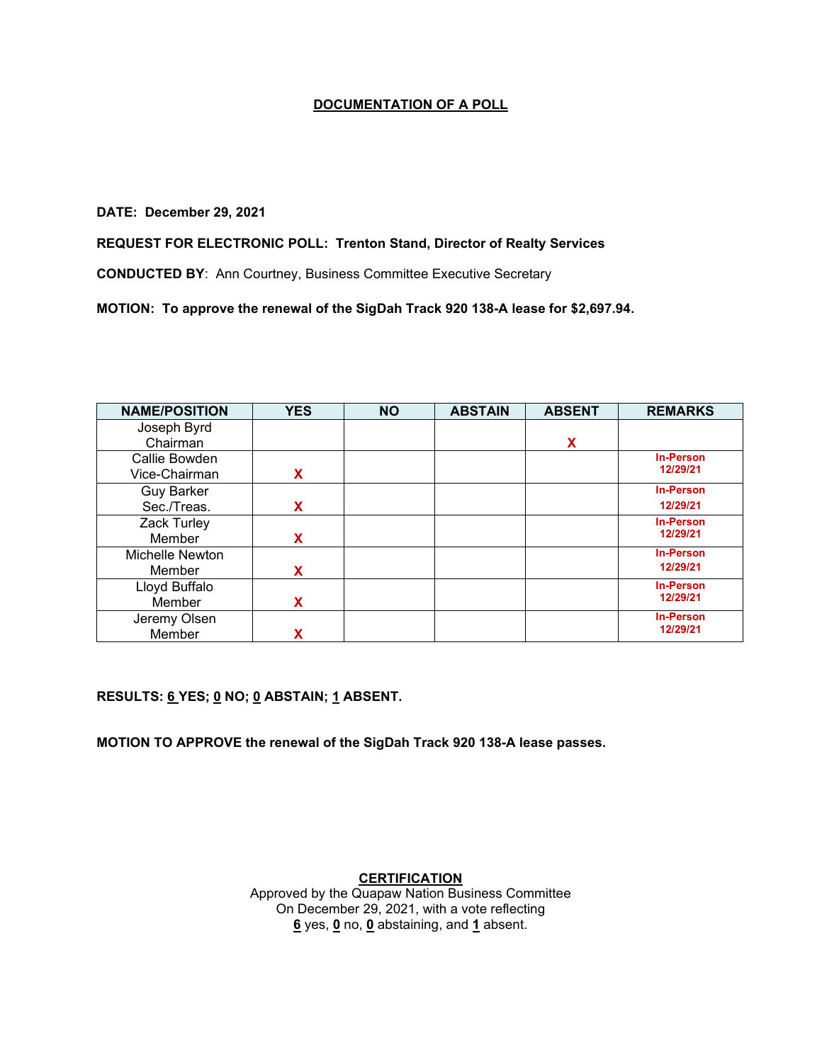#### **DATE: December 29, 2021**

## **REQUEST FOR ELECTRONIC POLL: Trenton Stand, Director of Realty Services**

**CONDUCTED BY**: Ann Courtney, Business Committee Executive Secretary

**MOTION: To approve the renewal of the SigDah Track 920 138-A lease for \$2,697.94.**

| <b>NAME/POSITION</b> | <b>YES</b> | <b>NO</b> | <b>ABSTAIN</b> | <b>ABSENT</b> | <b>REMARKS</b>   |
|----------------------|------------|-----------|----------------|---------------|------------------|
| Joseph Byrd          |            |           |                |               |                  |
| Chairman             |            |           |                | X             |                  |
| Callie Bowden        |            |           |                |               | <b>In-Person</b> |
| Vice-Chairman        | X          |           |                |               | 12/29/21         |
| <b>Guy Barker</b>    |            |           |                |               | <b>In-Person</b> |
| Sec./Treas.          | X          |           |                |               | 12/29/21         |
| Zack Turley          |            |           |                |               | <b>In-Person</b> |
| Member               | X          |           |                |               | 12/29/21         |
| Michelle Newton      |            |           |                |               | <b>In-Person</b> |
| Member               | x          |           |                |               | 12/29/21         |
| Lloyd Buffalo        |            |           |                |               | <b>In-Person</b> |
| Member               | x          |           |                |               | 12/29/21         |
| Jeremy Olsen         |            |           |                |               | <b>In-Person</b> |
| Member               | X          |           |                |               | 12/29/21         |

**RESULTS: 6 YES; 0 NO; 0 ABSTAIN; 1 ABSENT.** 

**MOTION TO APPROVE the renewal of the SigDah Track 920 138-A lease passes.**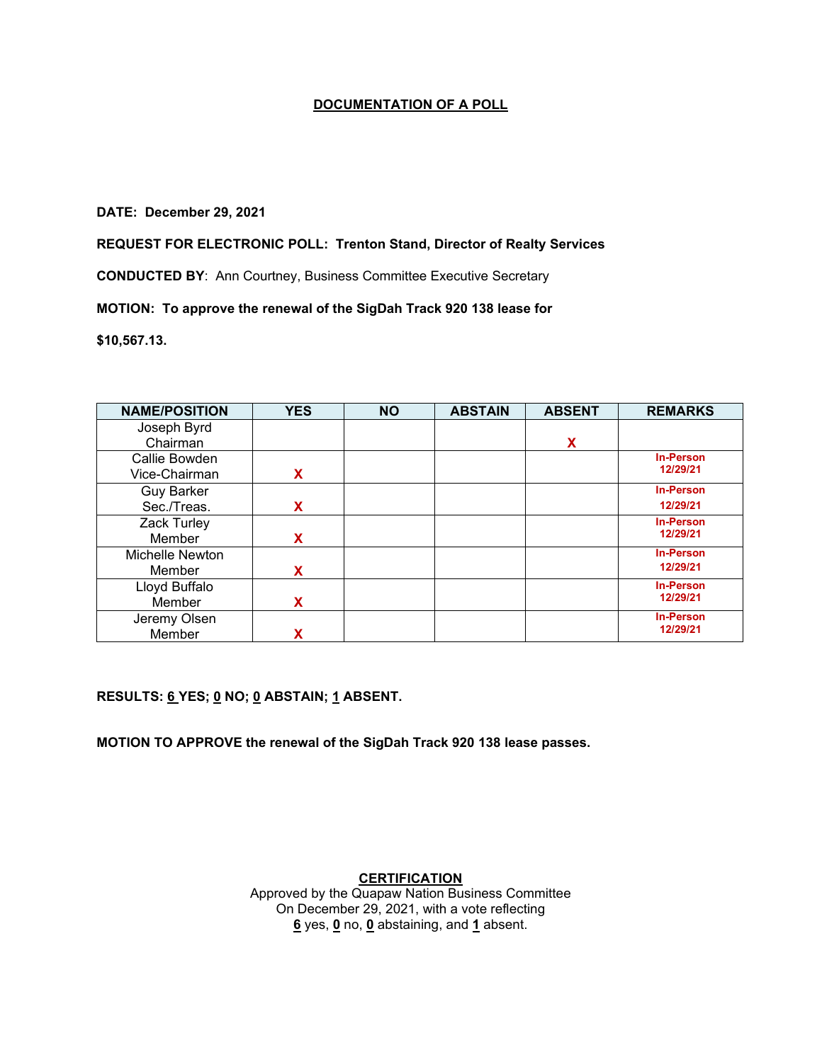#### **DATE: December 29, 2021**

### **REQUEST FOR ELECTRONIC POLL: Trenton Stand, Director of Realty Services**

**CONDUCTED BY**: Ann Courtney, Business Committee Executive Secretary

### **MOTION: To approve the renewal of the SigDah Track 920 138 lease for**

**\$10,567.13.**

| <b>NAME/POSITION</b> | <b>YES</b> | <b>NO</b> | <b>ABSTAIN</b> | <b>ABSENT</b> | <b>REMARKS</b>   |
|----------------------|------------|-----------|----------------|---------------|------------------|
| Joseph Byrd          |            |           |                |               |                  |
| Chairman             |            |           |                | X             |                  |
| Callie Bowden        |            |           |                |               | <b>In-Person</b> |
| Vice-Chairman        | X          |           |                |               | 12/29/21         |
| <b>Guy Barker</b>    |            |           |                |               | <b>In-Person</b> |
| Sec./Treas.          | X          |           |                |               | 12/29/21         |
| Zack Turley          |            |           |                |               | <b>In-Person</b> |
| Member               | X          |           |                |               | 12/29/21         |
| Michelle Newton      |            |           |                |               | <b>In-Person</b> |
| Member               | X          |           |                |               | 12/29/21         |
| Lloyd Buffalo        |            |           |                |               | <b>In-Person</b> |
| Member               | X          |           |                |               | 12/29/21         |
| Jeremy Olsen         |            |           |                |               | <b>In-Person</b> |
| Member               |            |           |                |               | 12/29/21         |

**RESULTS: 6 YES; 0 NO; 0 ABSTAIN; 1 ABSENT.** 

**MOTION TO APPROVE the renewal of the SigDah Track 920 138 lease passes.**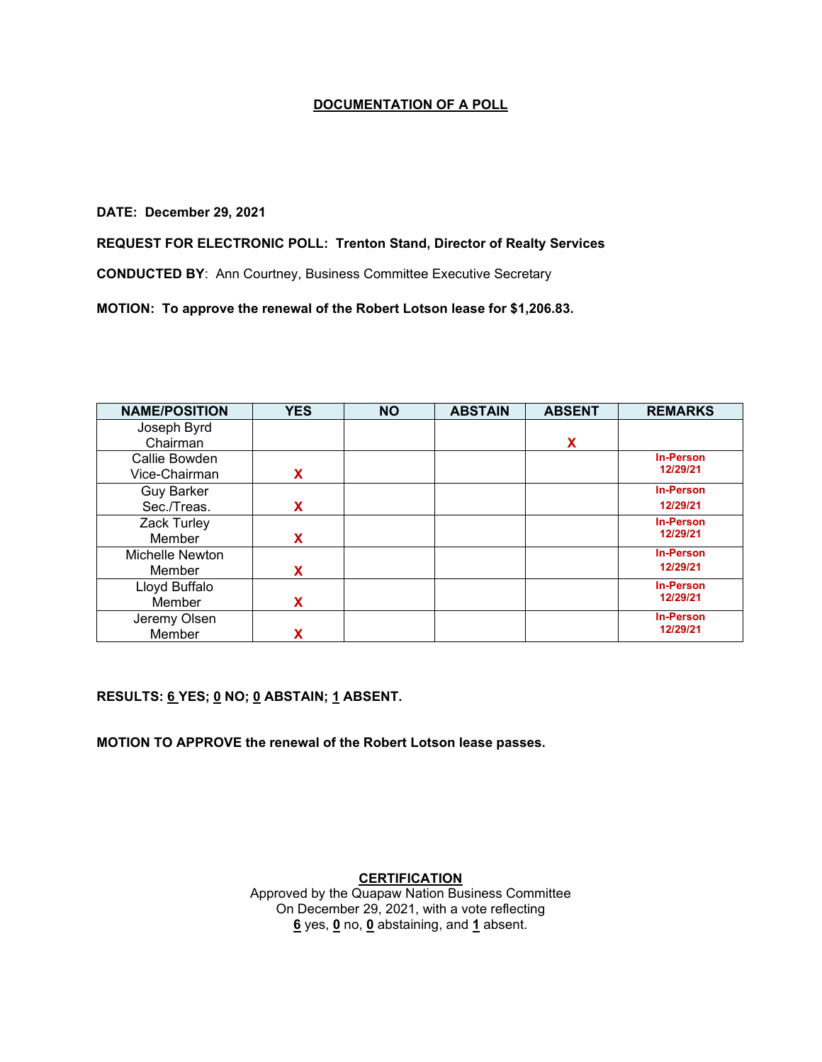#### **DATE: December 29, 2021**

## **REQUEST FOR ELECTRONIC POLL: Trenton Stand, Director of Realty Services**

**CONDUCTED BY**: Ann Courtney, Business Committee Executive Secretary

**MOTION: To approve the renewal of the Robert Lotson lease for \$1,206.83.**

| <b>NAME/POSITION</b> | <b>YES</b> | <b>NO</b> | <b>ABSTAIN</b> | <b>ABSENT</b> | <b>REMARKS</b>   |
|----------------------|------------|-----------|----------------|---------------|------------------|
| Joseph Byrd          |            |           |                |               |                  |
| Chairman             |            |           |                | X             |                  |
| Callie Bowden        |            |           |                |               | <b>In-Person</b> |
| Vice-Chairman        | x          |           |                |               | 12/29/21         |
| <b>Guy Barker</b>    |            |           |                |               | <b>In-Person</b> |
| Sec./Treas.          | X          |           |                |               | 12/29/21         |
| Zack Turley          |            |           |                |               | <b>In-Person</b> |
| Member               | X          |           |                |               | 12/29/21         |
| Michelle Newton      |            |           |                |               | <b>In-Person</b> |
| Member               | X          |           |                |               | 12/29/21         |
| Lloyd Buffalo        |            |           |                |               | <b>In-Person</b> |
| Member               | х          |           |                |               | 12/29/21         |
| Jeremy Olsen         |            |           |                |               | <b>In-Person</b> |
| Member               | χ          |           |                |               | 12/29/21         |

**RESULTS: 6 YES; 0 NO; 0 ABSTAIN; 1 ABSENT.** 

**MOTION TO APPROVE the renewal of the Robert Lotson lease passes.**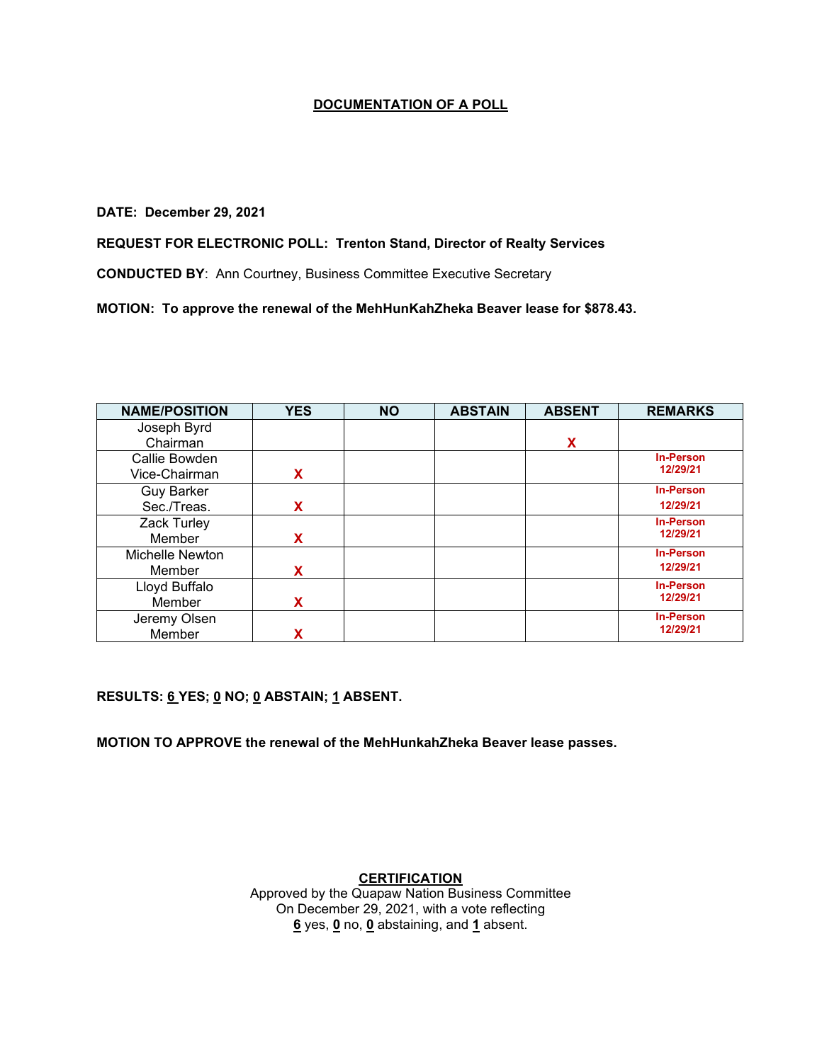#### **DATE: December 29, 2021**

## **REQUEST FOR ELECTRONIC POLL: Trenton Stand, Director of Realty Services**

**CONDUCTED BY**: Ann Courtney, Business Committee Executive Secretary

**MOTION: To approve the renewal of the MehHunKahZheka Beaver lease for \$878.43.**

| <b>NAME/POSITION</b> | <b>YES</b> | <b>NO</b> | <b>ABSTAIN</b> | <b>ABSENT</b> | <b>REMARKS</b>   |
|----------------------|------------|-----------|----------------|---------------|------------------|
| Joseph Byrd          |            |           |                |               |                  |
| Chairman             |            |           |                | X             |                  |
| Callie Bowden        |            |           |                |               | <b>In-Person</b> |
| Vice-Chairman        | X          |           |                |               | 12/29/21         |
| <b>Guy Barker</b>    |            |           |                |               | <b>In-Person</b> |
| Sec./Treas.          | X          |           |                |               | 12/29/21         |
| Zack Turley          |            |           |                |               | <b>In-Person</b> |
| Member               | x          |           |                |               | 12/29/21         |
| Michelle Newton      |            |           |                |               | <b>In-Person</b> |
| Member               | x          |           |                |               | 12/29/21         |
| Lloyd Buffalo        |            |           |                |               | <b>In-Person</b> |
| Member               | x          |           |                |               | 12/29/21         |
| Jeremy Olsen         |            |           |                |               | <b>In-Person</b> |
| Member               | χ          |           |                |               | 12/29/21         |

**RESULTS: 6 YES; 0 NO; 0 ABSTAIN; 1 ABSENT.** 

**MOTION TO APPROVE the renewal of the MehHunkahZheka Beaver lease passes.**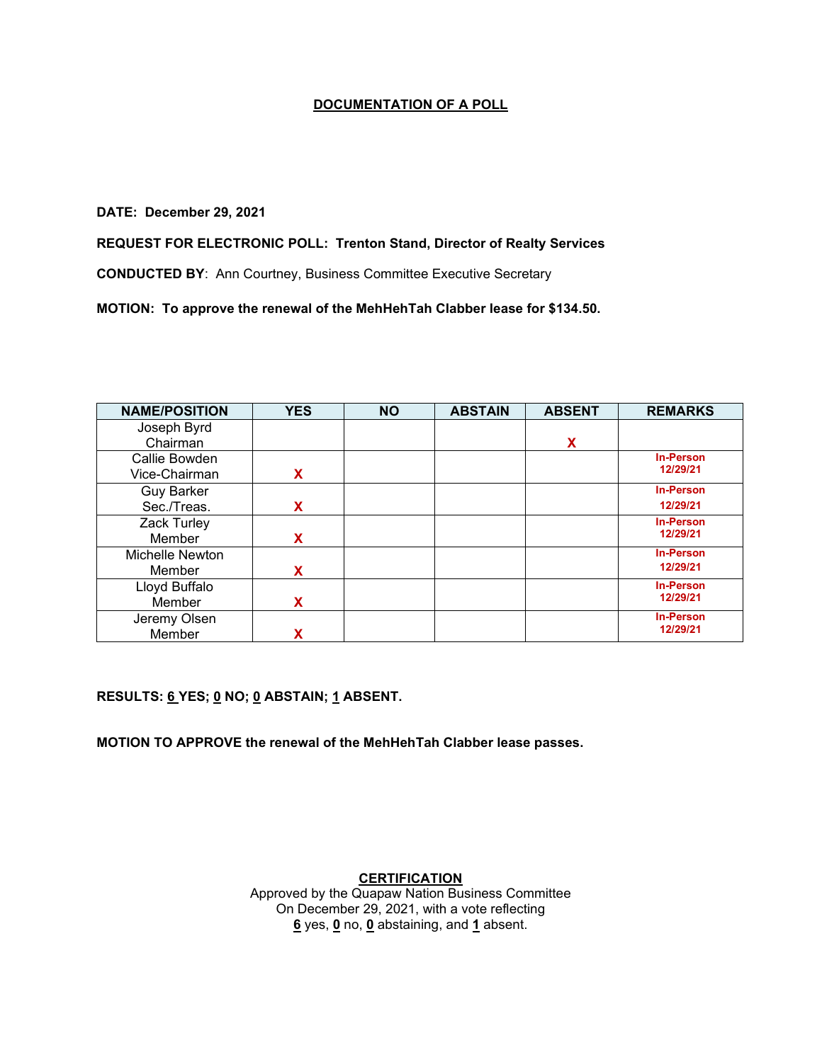#### **DATE: December 29, 2021**

# **REQUEST FOR ELECTRONIC POLL: Trenton Stand, Director of Realty Services**

**CONDUCTED BY**: Ann Courtney, Business Committee Executive Secretary

**MOTION: To approve the renewal of the MehHehTah Clabber lease for \$134.50.**

| <b>NAME/POSITION</b> | <b>YES</b> | <b>NO</b> | <b>ABSTAIN</b> | <b>ABSENT</b> | <b>REMARKS</b>   |
|----------------------|------------|-----------|----------------|---------------|------------------|
| Joseph Byrd          |            |           |                |               |                  |
| Chairman             |            |           |                | X             |                  |
| Callie Bowden        |            |           |                |               | <b>In-Person</b> |
| Vice-Chairman        | X          |           |                |               | 12/29/21         |
| <b>Guy Barker</b>    |            |           |                |               | <b>In-Person</b> |
| Sec./Treas.          | X          |           |                |               | 12/29/21         |
| Zack Turley          |            |           |                |               | <b>In-Person</b> |
| Member               | x          |           |                |               | 12/29/21         |
| Michelle Newton      |            |           |                |               | <b>In-Person</b> |
| Member               | x          |           |                |               | 12/29/21         |
| Lloyd Buffalo        |            |           |                |               | <b>In-Person</b> |
| Member               | x          |           |                |               | 12/29/21         |
| Jeremy Olsen         |            |           |                |               | <b>In-Person</b> |
| Member               | χ          |           |                |               | 12/29/21         |

**RESULTS: 6 YES; 0 NO; 0 ABSTAIN; 1 ABSENT.** 

**MOTION TO APPROVE the renewal of the MehHehTah Clabber lease passes.**